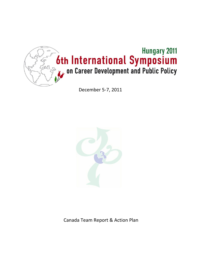

December 5-7, 2011



Canada Team Report & Action Plan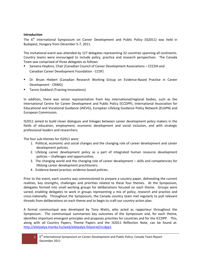#### **Introduction**

The 6<sup>th</sup> International Symposium on Career Development and Public Policy (IS2011) was held in Budapest, Hungary from December 5-7, 2011.

The invitational event was attended by 127 delegates representing 32 countries spanning all continents. Country teams were encouraged to include policy, practice and research perspectives. The Canada Team was comprised of three delegates as follows:

- Sareena Hopkins, Chair (Canadian Council of Career Development Associations CCCDA and Canadian Career Development Foundation - CCDF)
- Dr. Bryan Hiebert (Canadian Research Working Group on Evidence-Based Practice in Career Development - CRWG)
- **Tannis Goddard (Training Innovations)**

In addition, there was senior representation from key international/regional bodies, such as the International Centre for Career Development and Public Policy (ICCDPP), International Association for Educational and Vocational Guidance (IAEVG), European Lifelong Guidance Policy Network (ELGPN) and European Commission.

IS2011 aimed to build closer dialogues and linkages between career development policy makers in the fields of education, employment, economic development and social inclusion, and with strategic professional leaders and researchers.

The four sub-themes for IS2011 were:

- 1. Political, economic and social changes and the changing role of career development and career development policies.
- 2. Lifelong career development policy as a part of integrated human resource development policies – challenges and opportunities.
- 3. The changing world and the changing role of career development skills and competencies for lifelong career development practitioners.
- 4. Evidence-based practice; evidence-based policies.

Prior to the event, each country was commissioned to prepare a country paper, delineating the current realities, key strengths, challenges and priorities related to these four themes. At the Symposium, delegates formed into small working groups for deliberations focused on each theme. Groups were varied, enabling delegates to work in groups representing a mix of policy, research and practice and cross-nationally. Throughout the Symposium, the Canada country team met regularly to pull relevant threads from deliberations on each theme and to begin to craft our country action plan.

A formal communiqué was developed by Tony Watts, who acted as rapporteur throughout the Symposium. The communiqué summarizes key outcomes of the Symposium and, for each theme, identifies important emergent principles and proposes priorities for countries and for the ICCDPP. This, along with all Country Papers, Theme Papers and the IS2011 Reflection Note, can be found at: <http://eletpalya.munka.hu/web/eletpalya-folyoirat/iccdpp1>